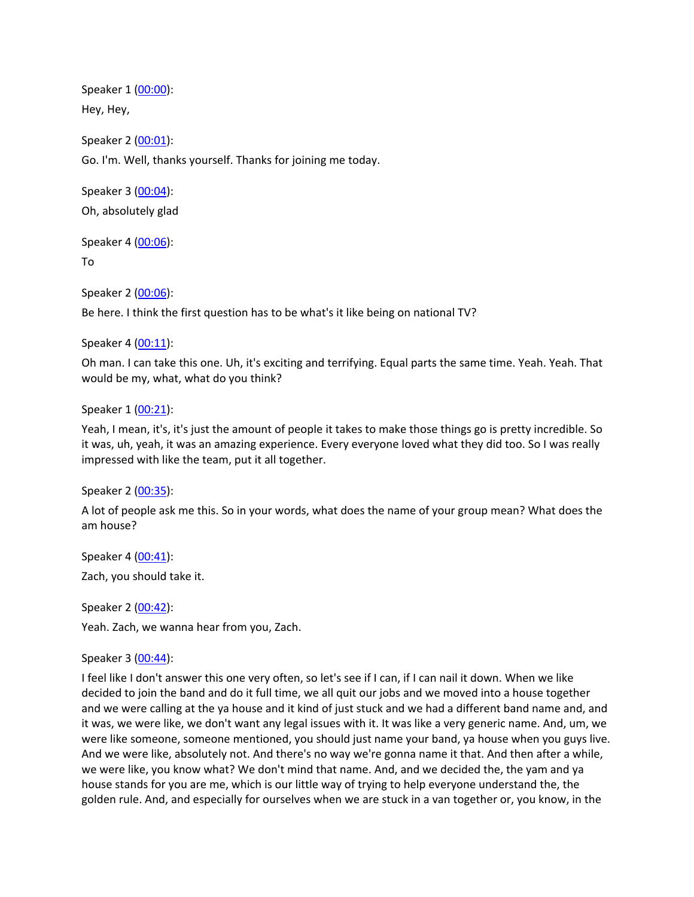Speaker 1 ([00:00](https://www.temi.com/editor/t/JvmGCAF9b7kNVBaebp_KftZfO4-XceVCkBVEuanmXb_WpyAUrjuzM2__W5uyXJ-5ReiM1M-ffwCj26_PToAjK0K7iHQ?loadFrom=DocumentDeeplink&ts=0.3)): Hey, Hey, Speaker 2 ([00:01](https://www.temi.com/editor/t/JvmGCAF9b7kNVBaebp_KftZfO4-XceVCkBVEuanmXb_WpyAUrjuzM2__W5uyXJ-5ReiM1M-ffwCj26_PToAjK0K7iHQ?loadFrom=DocumentDeeplink&ts=1.48)): Go. I'm. Well, thanks yourself. Thanks for joining me today.

Speaker 3 ([00:04](https://www.temi.com/editor/t/JvmGCAF9b7kNVBaebp_KftZfO4-XceVCkBVEuanmXb_WpyAUrjuzM2__W5uyXJ-5ReiM1M-ffwCj26_PToAjK0K7iHQ?loadFrom=DocumentDeeplink&ts=4.88)): Oh, absolutely glad

Speaker 4 ([00:06](https://www.temi.com/editor/t/JvmGCAF9b7kNVBaebp_KftZfO4-XceVCkBVEuanmXb_WpyAUrjuzM2__W5uyXJ-5ReiM1M-ffwCj26_PToAjK0K7iHQ?loadFrom=DocumentDeeplink&ts=6.32)):

To

Speaker 2 ([00:06](https://www.temi.com/editor/t/JvmGCAF9b7kNVBaebp_KftZfO4-XceVCkBVEuanmXb_WpyAUrjuzM2__W5uyXJ-5ReiM1M-ffwCj26_PToAjK0K7iHQ?loadFrom=DocumentDeeplink&ts=6.44)): Be here. I think the first question has to be what's it like being on national TV?

Speaker 4 ([00:11](https://www.temi.com/editor/t/JvmGCAF9b7kNVBaebp_KftZfO4-XceVCkBVEuanmXb_WpyAUrjuzM2__W5uyXJ-5ReiM1M-ffwCj26_PToAjK0K7iHQ?loadFrom=DocumentDeeplink&ts=11.34)):

Oh man. I can take this one. Uh, it's exciting and terrifying. Equal parts the same time. Yeah. Yeah. That would be my, what, what do you think?

Speaker 1 ([00:21](https://www.temi.com/editor/t/JvmGCAF9b7kNVBaebp_KftZfO4-XceVCkBVEuanmXb_WpyAUrjuzM2__W5uyXJ-5ReiM1M-ffwCj26_PToAjK0K7iHQ?loadFrom=DocumentDeeplink&ts=21.51)):

Yeah, I mean, it's, it's just the amount of people it takes to make those things go is pretty incredible. So it was, uh, yeah, it was an amazing experience. Every everyone loved what they did too. So I was really impressed with like the team, put it all together.

Speaker 2 ([00:35](https://www.temi.com/editor/t/JvmGCAF9b7kNVBaebp_KftZfO4-XceVCkBVEuanmXb_WpyAUrjuzM2__W5uyXJ-5ReiM1M-ffwCj26_PToAjK0K7iHQ?loadFrom=DocumentDeeplink&ts=35.83)):

A lot of people ask me this. So in your words, what does the name of your group mean? What does the am house?

Speaker 4 ([00:41](https://www.temi.com/editor/t/JvmGCAF9b7kNVBaebp_KftZfO4-XceVCkBVEuanmXb_WpyAUrjuzM2__W5uyXJ-5ReiM1M-ffwCj26_PToAjK0K7iHQ?loadFrom=DocumentDeeplink&ts=41.45)): Zach, you should take it.

Speaker 2 ([00:42](https://www.temi.com/editor/t/JvmGCAF9b7kNVBaebp_KftZfO4-XceVCkBVEuanmXb_WpyAUrjuzM2__W5uyXJ-5ReiM1M-ffwCj26_PToAjK0K7iHQ?loadFrom=DocumentDeeplink&ts=42.61)): Yeah. Zach, we wanna hear from you, Zach.

Speaker 3 ([00:44](https://www.temi.com/editor/t/JvmGCAF9b7kNVBaebp_KftZfO4-XceVCkBVEuanmXb_WpyAUrjuzM2__W5uyXJ-5ReiM1M-ffwCj26_PToAjK0K7iHQ?loadFrom=DocumentDeeplink&ts=44.94)):

I feel like I don't answer this one very often, so let's see if I can, if I can nail it down. When we like decided to join the band and do it full time, we all quit our jobs and we moved into a house together and we were calling at the ya house and it kind of just stuck and we had a different band name and, and it was, we were like, we don't want any legal issues with it. It was like a very generic name. And, um, we were like someone, someone mentioned, you should just name your band, ya house when you guys live. And we were like, absolutely not. And there's no way we're gonna name it that. And then after a while, we were like, you know what? We don't mind that name. And, and we decided the, the yam and ya house stands for you are me, which is our little way of trying to help everyone understand the, the golden rule. And, and especially for ourselves when we are stuck in a van together or, you know, in the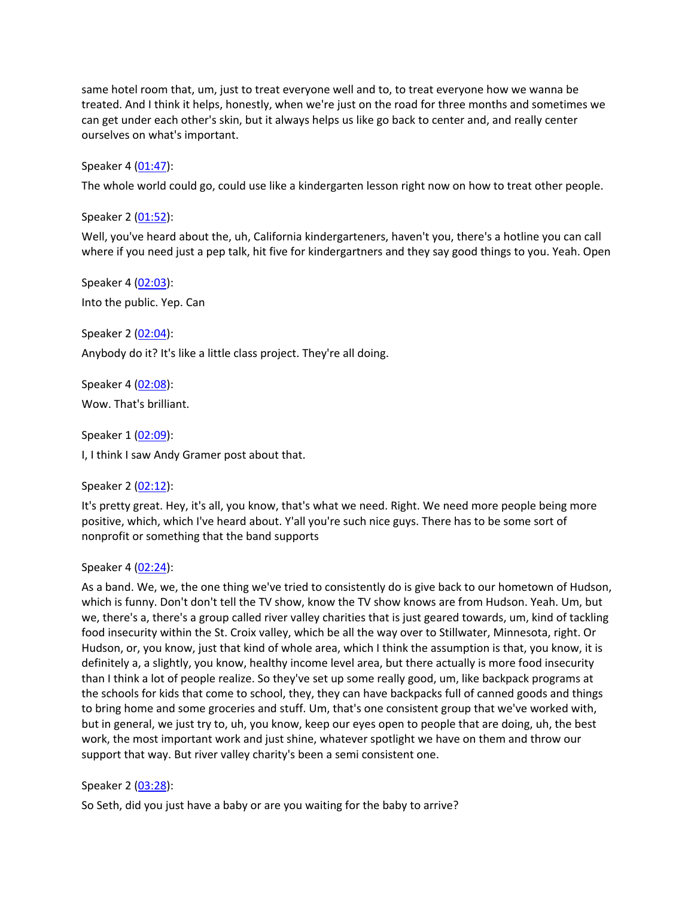same hotel room that, um, just to treat everyone well and to, to treat everyone how we wanna be treated. And I think it helps, honestly, when we're just on the road for three months and sometimes we can get under each other's skin, but it always helps us like go back to center and, and really center ourselves on what's important.

Speaker 4 ([01:47](https://www.temi.com/editor/t/JvmGCAF9b7kNVBaebp_KftZfO4-XceVCkBVEuanmXb_WpyAUrjuzM2__W5uyXJ-5ReiM1M-ffwCj26_PToAjK0K7iHQ?loadFrom=DocumentDeeplink&ts=107.17)):

The whole world could go, could use like a kindergarten lesson right now on how to treat other people.

Speaker 2 ([01:52](https://www.temi.com/editor/t/JvmGCAF9b7kNVBaebp_KftZfO4-XceVCkBVEuanmXb_WpyAUrjuzM2__W5uyXJ-5ReiM1M-ffwCj26_PToAjK0K7iHQ?loadFrom=DocumentDeeplink&ts=112.46)):

Well, you've heard about the, uh, California kindergarteners, haven't you, there's a hotline you can call where if you need just a pep talk, hit five for kindergartners and they say good things to you. Yeah. Open

Speaker 4 ([02:03](https://www.temi.com/editor/t/JvmGCAF9b7kNVBaebp_KftZfO4-XceVCkBVEuanmXb_WpyAUrjuzM2__W5uyXJ-5ReiM1M-ffwCj26_PToAjK0K7iHQ?loadFrom=DocumentDeeplink&ts=123.38)): Into the public. Yep. Can

Speaker 2 ([02:04](https://www.temi.com/editor/t/JvmGCAF9b7kNVBaebp_KftZfO4-XceVCkBVEuanmXb_WpyAUrjuzM2__W5uyXJ-5ReiM1M-ffwCj26_PToAjK0K7iHQ?loadFrom=DocumentDeeplink&ts=124.42)): Anybody do it? It's like a little class project. They're all doing.

Speaker 4 ([02:08](https://www.temi.com/editor/t/JvmGCAF9b7kNVBaebp_KftZfO4-XceVCkBVEuanmXb_WpyAUrjuzM2__W5uyXJ-5ReiM1M-ffwCj26_PToAjK0K7iHQ?loadFrom=DocumentDeeplink&ts=128.06)): Wow. That's brilliant.

Speaker 1 ([02:09](https://www.temi.com/editor/t/JvmGCAF9b7kNVBaebp_KftZfO4-XceVCkBVEuanmXb_WpyAUrjuzM2__W5uyXJ-5ReiM1M-ffwCj26_PToAjK0K7iHQ?loadFrom=DocumentDeeplink&ts=129.34)):

I, I think I saw Andy Gramer post about that.

Speaker 2 ([02:12](https://www.temi.com/editor/t/JvmGCAF9b7kNVBaebp_KftZfO4-XceVCkBVEuanmXb_WpyAUrjuzM2__W5uyXJ-5ReiM1M-ffwCj26_PToAjK0K7iHQ?loadFrom=DocumentDeeplink&ts=132.37)):

It's pretty great. Hey, it's all, you know, that's what we need. Right. We need more people being more positive, which, which I've heard about. Y'all you're such nice guys. There has to be some sort of nonprofit or something that the band supports

Speaker 4 ([02:24](https://www.temi.com/editor/t/JvmGCAF9b7kNVBaebp_KftZfO4-XceVCkBVEuanmXb_WpyAUrjuzM2__W5uyXJ-5ReiM1M-ffwCj26_PToAjK0K7iHQ?loadFrom=DocumentDeeplink&ts=144.27)):

As a band. We, we, the one thing we've tried to consistently do is give back to our hometown of Hudson, which is funny. Don't don't tell the TV show, know the TV show knows are from Hudson. Yeah. Um, but we, there's a, there's a group called river valley charities that is just geared towards, um, kind of tackling food insecurity within the St. Croix valley, which be all the way over to Stillwater, Minnesota, right. Or Hudson, or, you know, just that kind of whole area, which I think the assumption is that, you know, it is definitely a, a slightly, you know, healthy income level area, but there actually is more food insecurity than I think a lot of people realize. So they've set up some really good, um, like backpack programs at the schools for kids that come to school, they, they can have backpacks full of canned goods and things to bring home and some groceries and stuff. Um, that's one consistent group that we've worked with, but in general, we just try to, uh, you know, keep our eyes open to people that are doing, uh, the best work, the most important work and just shine, whatever spotlight we have on them and throw our support that way. But river valley charity's been a semi consistent one.

## Speaker 2 ([03:28](https://www.temi.com/editor/t/JvmGCAF9b7kNVBaebp_KftZfO4-XceVCkBVEuanmXb_WpyAUrjuzM2__W5uyXJ-5ReiM1M-ffwCj26_PToAjK0K7iHQ?loadFrom=DocumentDeeplink&ts=208.45)):

So Seth, did you just have a baby or are you waiting for the baby to arrive?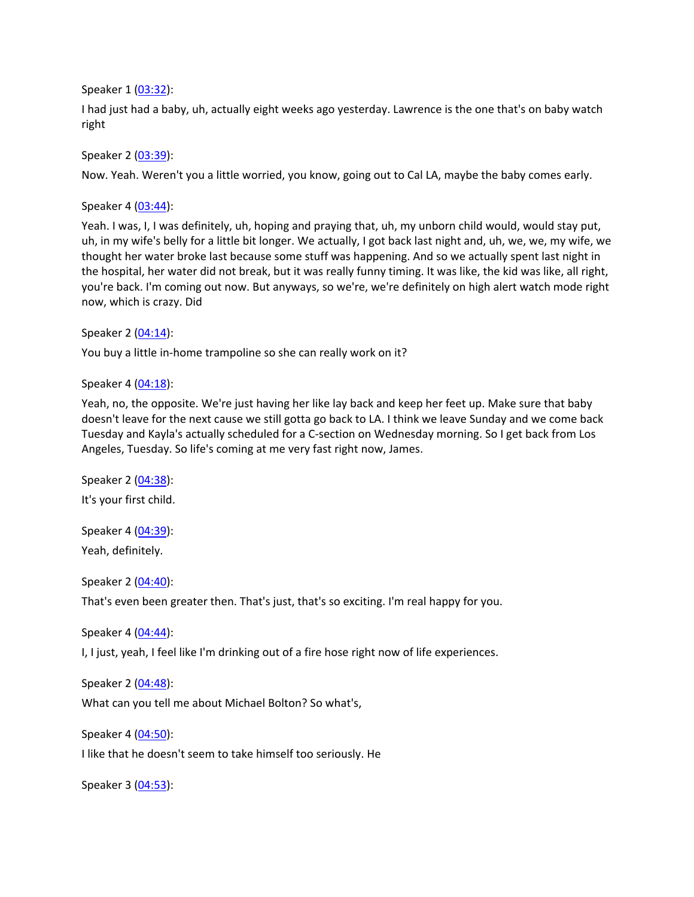Speaker 1 ([03:32](https://www.temi.com/editor/t/JvmGCAF9b7kNVBaebp_KftZfO4-XceVCkBVEuanmXb_WpyAUrjuzM2__W5uyXJ-5ReiM1M-ffwCj26_PToAjK0K7iHQ?loadFrom=DocumentDeeplink&ts=212.43)):

I had just had a baby, uh, actually eight weeks ago yesterday. Lawrence is the one that's on baby watch right

Speaker 2 ([03:39](https://www.temi.com/editor/t/JvmGCAF9b7kNVBaebp_KftZfO4-XceVCkBVEuanmXb_WpyAUrjuzM2__W5uyXJ-5ReiM1M-ffwCj26_PToAjK0K7iHQ?loadFrom=DocumentDeeplink&ts=219.54)):

Now. Yeah. Weren't you a little worried, you know, going out to Cal LA, maybe the baby comes early.

Speaker 4 ([03:44](https://www.temi.com/editor/t/JvmGCAF9b7kNVBaebp_KftZfO4-XceVCkBVEuanmXb_WpyAUrjuzM2__W5uyXJ-5ReiM1M-ffwCj26_PToAjK0K7iHQ?loadFrom=DocumentDeeplink&ts=224.25)):

Yeah. I was, I, I was definitely, uh, hoping and praying that, uh, my unborn child would, would stay put, uh, in my wife's belly for a little bit longer. We actually, I got back last night and, uh, we, we, my wife, we thought her water broke last because some stuff was happening. And so we actually spent last night in the hospital, her water did not break, but it was really funny timing. It was like, the kid was like, all right, you're back. I'm coming out now. But anyways, so we're, we're definitely on high alert watch mode right now, which is crazy. Did

Speaker 2 ([04:14](https://www.temi.com/editor/t/JvmGCAF9b7kNVBaebp_KftZfO4-XceVCkBVEuanmXb_WpyAUrjuzM2__W5uyXJ-5ReiM1M-ffwCj26_PToAjK0K7iHQ?loadFrom=DocumentDeeplink&ts=254.89)):

You buy a little in-home trampoline so she can really work on it?

Speaker 4 ([04:18](https://www.temi.com/editor/t/JvmGCAF9b7kNVBaebp_KftZfO4-XceVCkBVEuanmXb_WpyAUrjuzM2__W5uyXJ-5ReiM1M-ffwCj26_PToAjK0K7iHQ?loadFrom=DocumentDeeplink&ts=258.6)):

Yeah, no, the opposite. We're just having her like lay back and keep her feet up. Make sure that baby doesn't leave for the next cause we still gotta go back to LA. I think we leave Sunday and we come back Tuesday and Kayla's actually scheduled for a C-section on Wednesday morning. So I get back from Los Angeles, Tuesday. So life's coming at me very fast right now, James.

Speaker 2 ([04:38](https://www.temi.com/editor/t/JvmGCAF9b7kNVBaebp_KftZfO4-XceVCkBVEuanmXb_WpyAUrjuzM2__W5uyXJ-5ReiM1M-ffwCj26_PToAjK0K7iHQ?loadFrom=DocumentDeeplink&ts=278.23)): It's your first child.

Speaker 4 ([04:39](https://www.temi.com/editor/t/JvmGCAF9b7kNVBaebp_KftZfO4-XceVCkBVEuanmXb_WpyAUrjuzM2__W5uyXJ-5ReiM1M-ffwCj26_PToAjK0K7iHQ?loadFrom=DocumentDeeplink&ts=279.31)): Yeah, definitely.

Speaker 2 ([04:40](https://www.temi.com/editor/t/JvmGCAF9b7kNVBaebp_KftZfO4-XceVCkBVEuanmXb_WpyAUrjuzM2__W5uyXJ-5ReiM1M-ffwCj26_PToAjK0K7iHQ?loadFrom=DocumentDeeplink&ts=280.08)):

That's even been greater then. That's just, that's so exciting. I'm real happy for you.

Speaker 4 ([04:44](https://www.temi.com/editor/t/JvmGCAF9b7kNVBaebp_KftZfO4-XceVCkBVEuanmXb_WpyAUrjuzM2__W5uyXJ-5ReiM1M-ffwCj26_PToAjK0K7iHQ?loadFrom=DocumentDeeplink&ts=284.27)):

I, I just, yeah, I feel like I'm drinking out of a fire hose right now of life experiences.

Speaker 2 ([04:48](https://www.temi.com/editor/t/JvmGCAF9b7kNVBaebp_KftZfO4-XceVCkBVEuanmXb_WpyAUrjuzM2__W5uyXJ-5ReiM1M-ffwCj26_PToAjK0K7iHQ?loadFrom=DocumentDeeplink&ts=288.78)):

What can you tell me about Michael Bolton? So what's,

Speaker 4 ([04:50](https://www.temi.com/editor/t/JvmGCAF9b7kNVBaebp_KftZfO4-XceVCkBVEuanmXb_WpyAUrjuzM2__W5uyXJ-5ReiM1M-ffwCj26_PToAjK0K7iHQ?loadFrom=DocumentDeeplink&ts=290.83)):

I like that he doesn't seem to take himself too seriously. He

Speaker 3 ([04:53](https://www.temi.com/editor/t/JvmGCAF9b7kNVBaebp_KftZfO4-XceVCkBVEuanmXb_WpyAUrjuzM2__W5uyXJ-5ReiM1M-ffwCj26_PToAjK0K7iHQ?loadFrom=DocumentDeeplink&ts=293.95)):